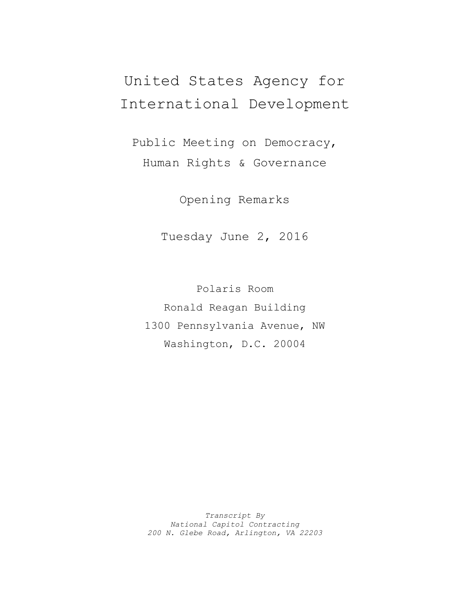## United States Agency for International Development

Public Meeting on Democracy, Human Rights & Governance

Opening Remarks

Tuesday June 2, 2016

Polaris Room Ronald Reagan Building 1300 Pennsylvania Avenue, NW Washington, D.C. 20004

*Transcript By National Capitol Contracting 200 N. Glebe Road, Arlington, VA 22203*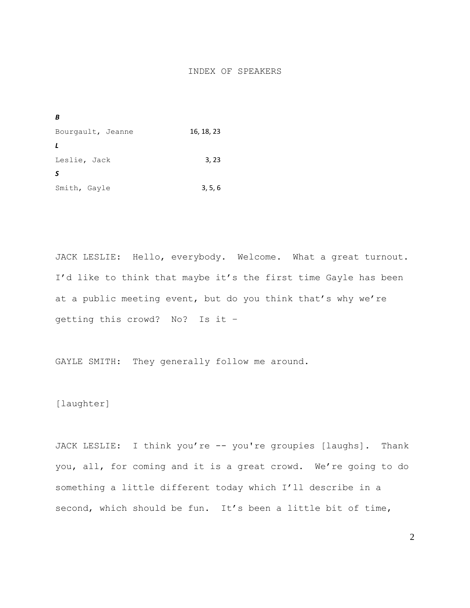## INDEX OF SPEAKERS

| B                 |            |
|-------------------|------------|
| Bourgault, Jeanne | 16, 18, 23 |
| L                 |            |
| Leslie, Jack      | 3, 23      |
| S                 |            |
| Smith, Gayle      | 3, 5, 6    |

JACK LESLIE: Hello, everybody. Welcome. What a great turnout. I'd like to think that maybe it's the first time Gayle has been at a public meeting event, but do you think that's why we're getting this crowd? No? Is it –

GAYLE SMITH: They generally follow me around.

[laughter]

JACK LESLIE: I think you're -- you're groupies [laughs]. Thank you, all, for coming and it is a great crowd. We're going to do something a little different today which I'll describe in a second, which should be fun. It's been a little bit of time,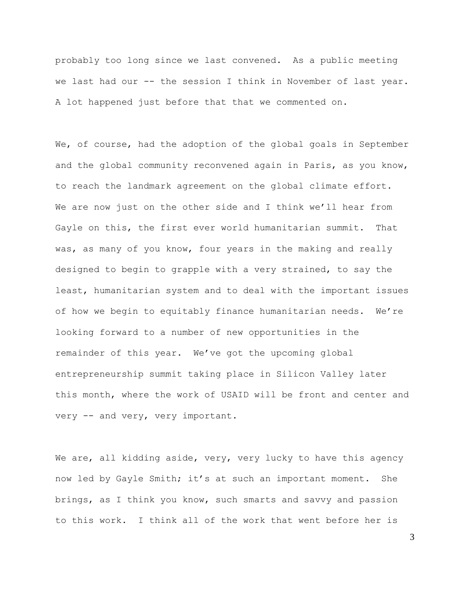probably too long since we last convened. As a public meeting we last had our -- the session I think in November of last year. A lot happened just before that that we commented on.

We, of course, had the adoption of the global goals in September and the global community reconvened again in Paris, as you know, to reach the landmark agreement on the global climate effort. We are now just on the other side and I think we'll hear from Gayle on this, the first ever world humanitarian summit. That was, as many of you know, four years in the making and really designed to begin to grapple with a very strained, to say the least, humanitarian system and to deal with the important issues of how we begin to equitably finance humanitarian needs. We're looking forward to a number of new opportunities in the remainder of this year. We've got the upcoming global entrepreneurship summit taking place in Silicon Valley later this month, where the work of USAID will be front and center and very -- and very, very important.

We are, all kidding aside, very, very lucky to have this agency now led by Gayle Smith; it's at such an important moment. She brings, as I think you know, such smarts and savvy and passion to this work. I think all of the work that went before her is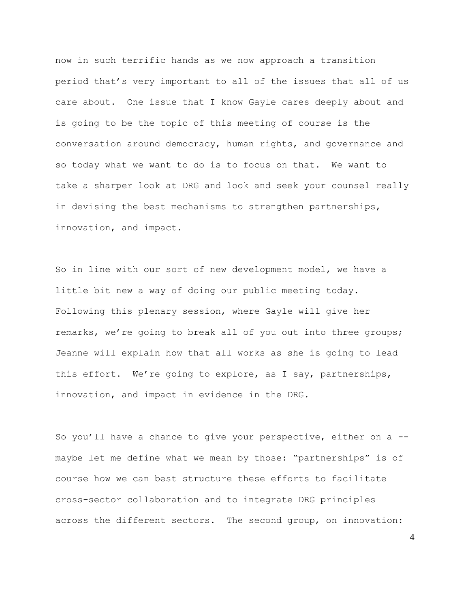now in such terrific hands as we now approach a transition period that's very important to all of the issues that all of us care about. One issue that I know Gayle cares deeply about and is going to be the topic of this meeting of course is the conversation around democracy, human rights, and governance and so today what we want to do is to focus on that. We want to take a sharper look at DRG and look and seek your counsel really in devising the best mechanisms to strengthen partnerships, innovation, and impact.

So in line with our sort of new development model, we have a little bit new a way of doing our public meeting today. Following this plenary session, where Gayle will give her remarks, we're going to break all of you out into three groups; Jeanne will explain how that all works as she is going to lead this effort. We're going to explore, as I say, partnerships, innovation, and impact in evidence in the DRG.

So you'll have a chance to give your perspective, either on a - maybe let me define what we mean by those: "partnerships" is of course how we can best structure these efforts to facilitate cross-sector collaboration and to integrate DRG principles across the different sectors. The second group, on innovation: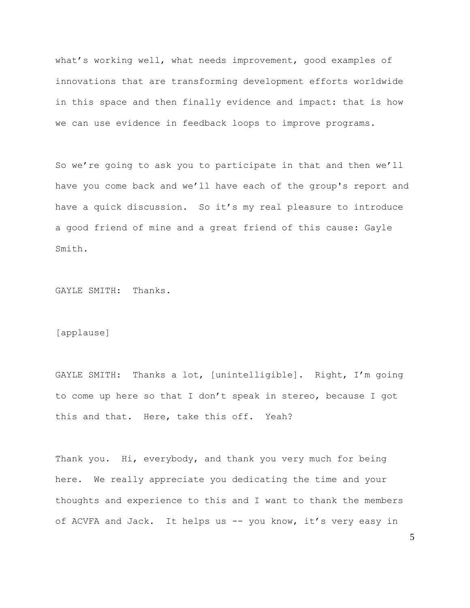what's working well, what needs improvement, good examples of innovations that are transforming development efforts worldwide in this space and then finally evidence and impact: that is how we can use evidence in feedback loops to improve programs.

So we're going to ask you to participate in that and then we'll have you come back and we'll have each of the group's report and have a quick discussion. So it's my real pleasure to introduce a good friend of mine and a great friend of this cause: Gayle Smith.

GAYLE SMITH: Thanks.

[applause]

GAYLE SMITH: Thanks a lot, [unintelligible]. Right, I'm going to come up here so that I don't speak in stereo, because I got this and that. Here, take this off. Yeah?

Thank you. Hi, everybody, and thank you very much for being here. We really appreciate you dedicating the time and your thoughts and experience to this and I want to thank the members of ACVFA and Jack. It helps us -- you know, it's very easy in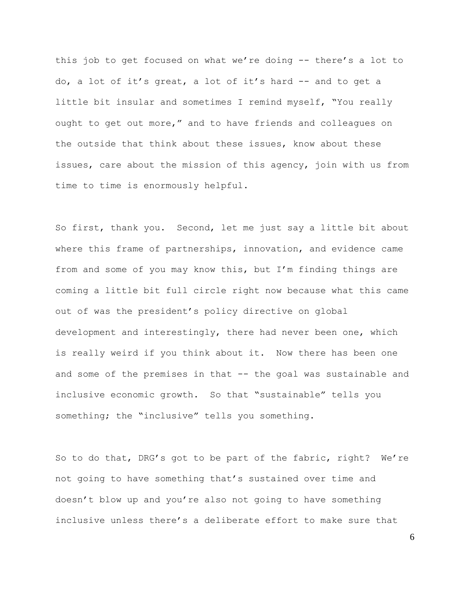this job to get focused on what we're doing -- there's a lot to do, a lot of it's great, a lot of it's hard -- and to get a little bit insular and sometimes I remind myself, "You really ought to get out more," and to have friends and colleagues on the outside that think about these issues, know about these issues, care about the mission of this agency, join with us from time to time is enormously helpful.

So first, thank you. Second, let me just say a little bit about where this frame of partnerships, innovation, and evidence came from and some of you may know this, but I'm finding things are coming a little bit full circle right now because what this came out of was the president's policy directive on global development and interestingly, there had never been one, which is really weird if you think about it. Now there has been one and some of the premises in that -- the goal was sustainable and inclusive economic growth. So that "sustainable" tells you something; the "inclusive" tells you something.

So to do that, DRG's got to be part of the fabric, right? We're not going to have something that's sustained over time and doesn't blow up and you're also not going to have something inclusive unless there's a deliberate effort to make sure that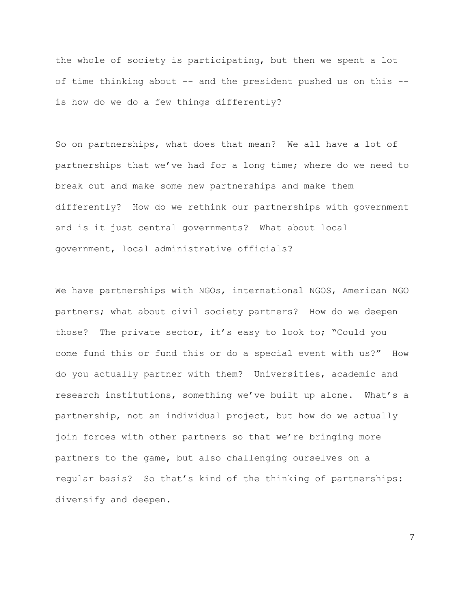the whole of society is participating, but then we spent a lot of time thinking about -- and the president pushed us on this - is how do we do a few things differently?

So on partnerships, what does that mean? We all have a lot of partnerships that we've had for a long time; where do we need to break out and make some new partnerships and make them differently? How do we rethink our partnerships with government and is it just central governments? What about local government, local administrative officials?

We have partnerships with NGOs, international NGOS, American NGO partners; what about civil society partners? How do we deepen those? The private sector, it's easy to look to; "Could you come fund this or fund this or do a special event with us?" How do you actually partner with them? Universities, academic and research institutions, something we've built up alone. What's a partnership, not an individual project, but how do we actually join forces with other partners so that we're bringing more partners to the game, but also challenging ourselves on a regular basis? So that's kind of the thinking of partnerships: diversify and deepen.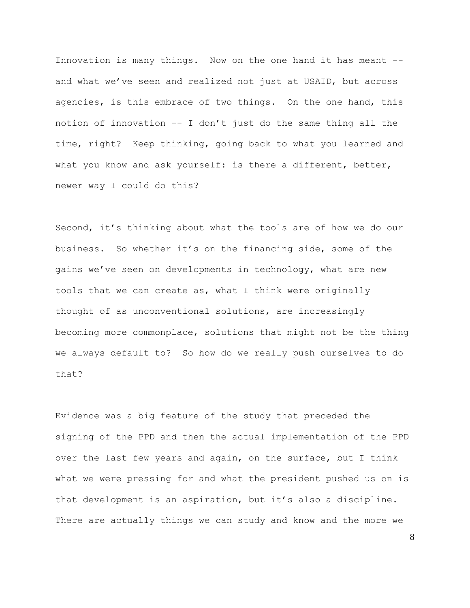Innovation is many things. Now on the one hand it has meant - and what we've seen and realized not just at USAID, but across agencies, is this embrace of two things. On the one hand, this notion of innovation -- I don't just do the same thing all the time, right? Keep thinking, going back to what you learned and what you know and ask yourself: is there a different, better, newer way I could do this?

Second, it's thinking about what the tools are of how we do our business. So whether it's on the financing side, some of the gains we've seen on developments in technology, what are new tools that we can create as, what I think were originally thought of as unconventional solutions, are increasingly becoming more commonplace, solutions that might not be the thing we always default to? So how do we really push ourselves to do that?

Evidence was a big feature of the study that preceded the signing of the PPD and then the actual implementation of the PPD over the last few years and again, on the surface, but I think what we were pressing for and what the president pushed us on is that development is an aspiration, but it's also a discipline. There are actually things we can study and know and the more we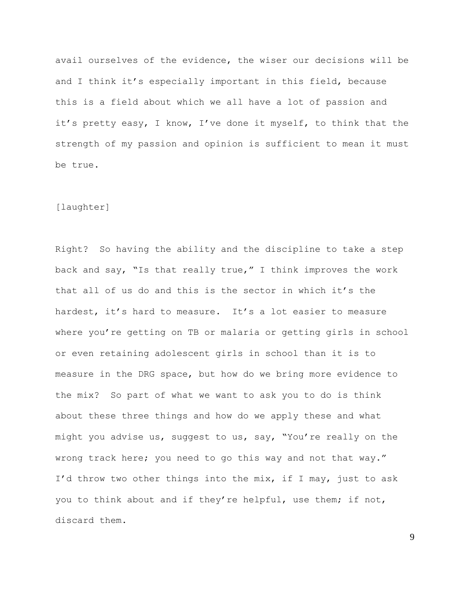avail ourselves of the evidence, the wiser our decisions will be and I think it's especially important in this field, because this is a field about which we all have a lot of passion and it's pretty easy, I know, I've done it myself, to think that the strength of my passion and opinion is sufficient to mean it must be true.

## [laughter]

Right? So having the ability and the discipline to take a step back and say, "Is that really true," I think improves the work that all of us do and this is the sector in which it's the hardest, it's hard to measure. It's a lot easier to measure where you're getting on TB or malaria or getting girls in school or even retaining adolescent girls in school than it is to measure in the DRG space, but how do we bring more evidence to the mix? So part of what we want to ask you to do is think about these three things and how do we apply these and what might you advise us, suggest to us, say, "You're really on the wrong track here; you need to go this way and not that way." I'd throw two other things into the mix, if I may, just to ask you to think about and if they're helpful, use them; if not, discard them.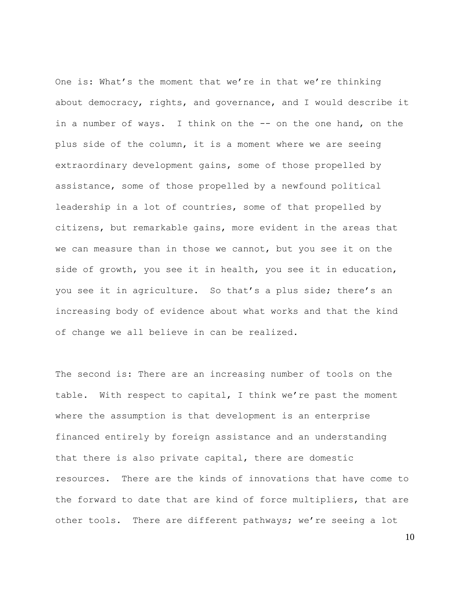One is: What's the moment that we're in that we're thinking about democracy, rights, and governance, and I would describe it in a number of ways. I think on the -- on the one hand, on the plus side of the column, it is a moment where we are seeing extraordinary development gains, some of those propelled by assistance, some of those propelled by a newfound political leadership in a lot of countries, some of that propelled by citizens, but remarkable gains, more evident in the areas that we can measure than in those we cannot, but you see it on the side of growth, you see it in health, you see it in education, you see it in agriculture. So that's a plus side; there's an increasing body of evidence about what works and that the kind of change we all believe in can be realized.

The second is: There are an increasing number of tools on the table. With respect to capital, I think we're past the moment where the assumption is that development is an enterprise financed entirely by foreign assistance and an understanding that there is also private capital, there are domestic resources. There are the kinds of innovations that have come to the forward to date that are kind of force multipliers, that are other tools. There are different pathways; we're seeing a lot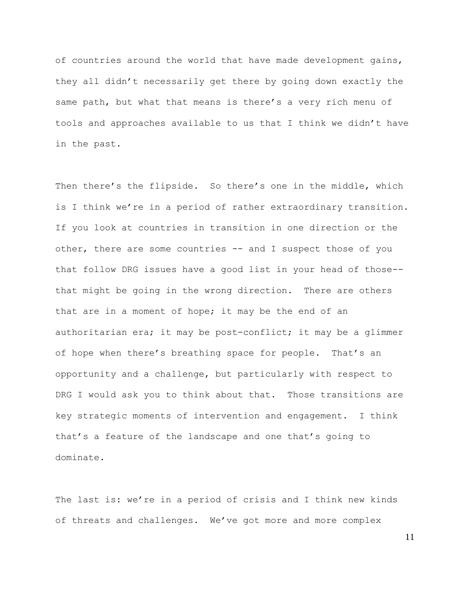of countries around the world that have made development gains, they all didn't necessarily get there by going down exactly the same path, but what that means is there's a very rich menu of tools and approaches available to us that I think we didn't have in the past.

Then there's the flipside. So there's one in the middle, which is I think we're in a period of rather extraordinary transition. If you look at countries in transition in one direction or the other, there are some countries -- and I suspect those of you that follow DRG issues have a good list in your head of those- that might be going in the wrong direction. There are others that are in a moment of hope; it may be the end of an authoritarian era; it may be post-conflict; it may be a glimmer of hope when there's breathing space for people. That's an opportunity and a challenge, but particularly with respect to DRG I would ask you to think about that. Those transitions are key strategic moments of intervention and engagement. I think that's a feature of the landscape and one that's going to dominate.

The last is: we're in a period of crisis and I think new kinds of threats and challenges. We've got more and more complex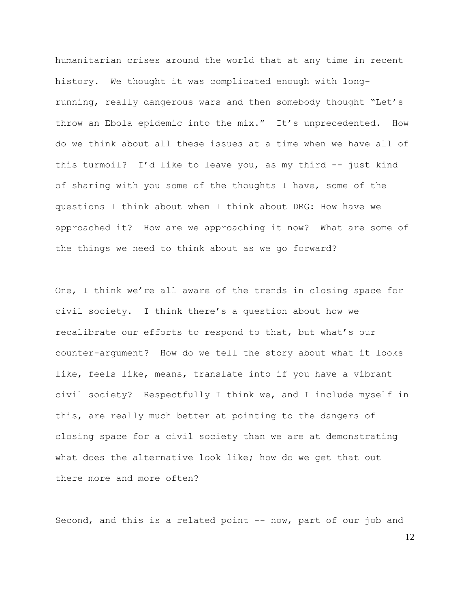humanitarian crises around the world that at any time in recent history. We thought it was complicated enough with longrunning, really dangerous wars and then somebody thought "Let's throw an Ebola epidemic into the mix." It's unprecedented. How do we think about all these issues at a time when we have all of this turmoil? I'd like to leave you, as my third -- just kind of sharing with you some of the thoughts I have, some of the questions I think about when I think about DRG: How have we approached it? How are we approaching it now? What are some of the things we need to think about as we go forward?

One, I think we're all aware of the trends in closing space for civil society. I think there's a question about how we recalibrate our efforts to respond to that, but what's our counter-argument? How do we tell the story about what it looks like, feels like, means, translate into if you have a vibrant civil society? Respectfully I think we, and I include myself in this, are really much better at pointing to the dangers of closing space for a civil society than we are at demonstrating what does the alternative look like; how do we get that out there more and more often?

Second, and this is a related point -- now, part of our job and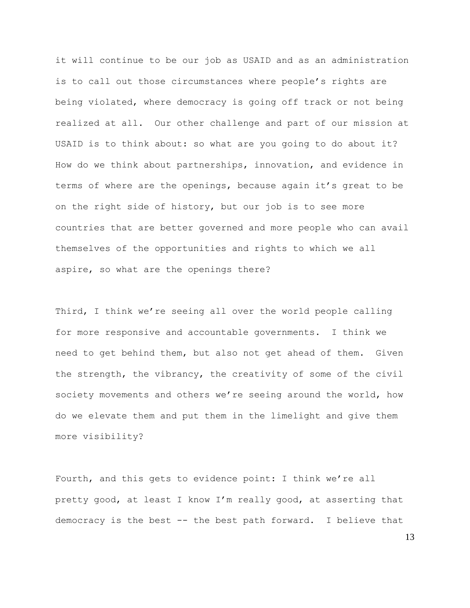it will continue to be our job as USAID and as an administration is to call out those circumstances where people's rights are being violated, where democracy is going off track or not being realized at all. Our other challenge and part of our mission at USAID is to think about: so what are you going to do about it? How do we think about partnerships, innovation, and evidence in terms of where are the openings, because again it's great to be on the right side of history, but our job is to see more countries that are better governed and more people who can avail themselves of the opportunities and rights to which we all aspire, so what are the openings there?

Third, I think we're seeing all over the world people calling for more responsive and accountable governments. I think we need to get behind them, but also not get ahead of them. Given the strength, the vibrancy, the creativity of some of the civil society movements and others we're seeing around the world, how do we elevate them and put them in the limelight and give them more visibility?

Fourth, and this gets to evidence point: I think we're all pretty good, at least I know I'm really good, at asserting that democracy is the best -- the best path forward. I believe that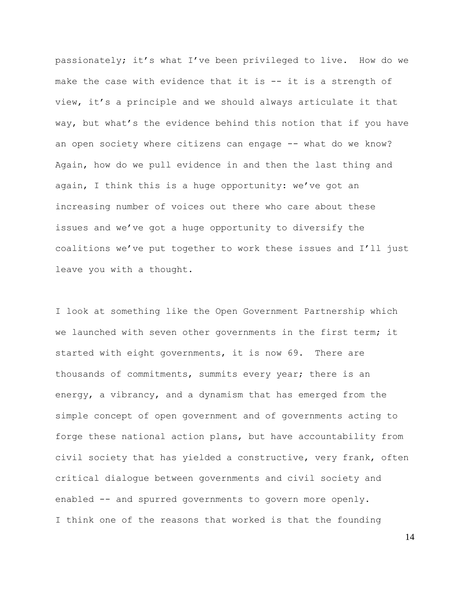passionately; it's what I've been privileged to live. How do we make the case with evidence that it is -- it is a strength of view, it's a principle and we should always articulate it that way, but what's the evidence behind this notion that if you have an open society where citizens can engage -- what do we know? Again, how do we pull evidence in and then the last thing and again, I think this is a huge opportunity: we've got an increasing number of voices out there who care about these issues and we've got a huge opportunity to diversify the coalitions we've put together to work these issues and I'll just leave you with a thought.

I look at something like the Open Government Partnership which we launched with seven other governments in the first term; it started with eight governments, it is now 69. There are thousands of commitments, summits every year; there is an energy, a vibrancy, and a dynamism that has emerged from the simple concept of open government and of governments acting to forge these national action plans, but have accountability from civil society that has yielded a constructive, very frank, often critical dialogue between governments and civil society and enabled -- and spurred governments to govern more openly. I think one of the reasons that worked is that the founding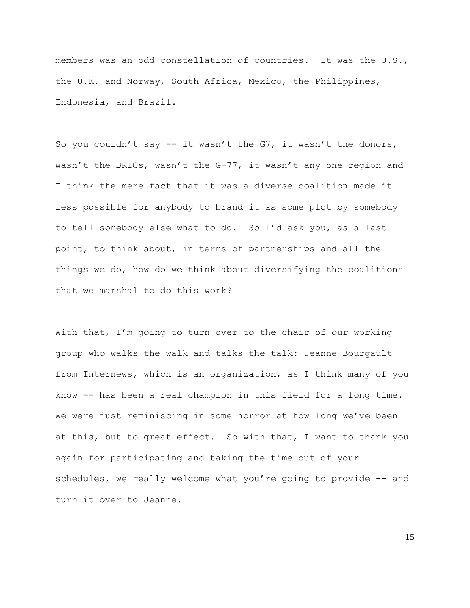members was an odd constellation of countries. It was the U.S., the U.K. and Norway, South Africa, Mexico, the Philippines, Indonesia, and Brazil.

So you couldn't say  $-$  it wasn't the G7, it wasn't the donors, wasn't the BRICs, wasn't the G-77, it wasn't any one region and I think the mere fact that it was a diverse coalition made it less possible for anybody to brand it as some plot by somebody to tell somebody else what to do. So I'd ask you, as a last point, to think about, in terms of partnerships and all the things we do, how do we think about diversifying the coalitions that we marshal to do this work?

With that, I'm going to turn over to the chair of our working group who walks the walk and talks the talk: Jeanne Bourgault from Internews, which is an organization, as I think many of you know -- has been a real champion in this field for a long time. We were just reminiscing in some horror at how long we've been at this, but to great effect. So with that, I want to thank you again for participating and taking the time out of your schedules, we really welcome what you're going to provide -- and turn it over to Jeanne.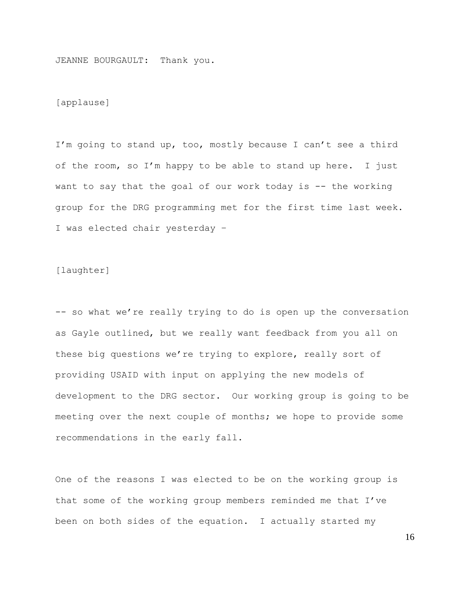JEANNE BOURGAULT: Thank you.

[applause]

I'm going to stand up, too, mostly because I can't see a third of the room, so I'm happy to be able to stand up here. I just want to say that the goal of our work today is -- the working group for the DRG programming met for the first time last week. I was elected chair yesterday –

[laughter]

-- so what we're really trying to do is open up the conversation as Gayle outlined, but we really want feedback from you all on these big questions we're trying to explore, really sort of providing USAID with input on applying the new models of development to the DRG sector. Our working group is going to be meeting over the next couple of months; we hope to provide some recommendations in the early fall.

One of the reasons I was elected to be on the working group is that some of the working group members reminded me that I've been on both sides of the equation. I actually started my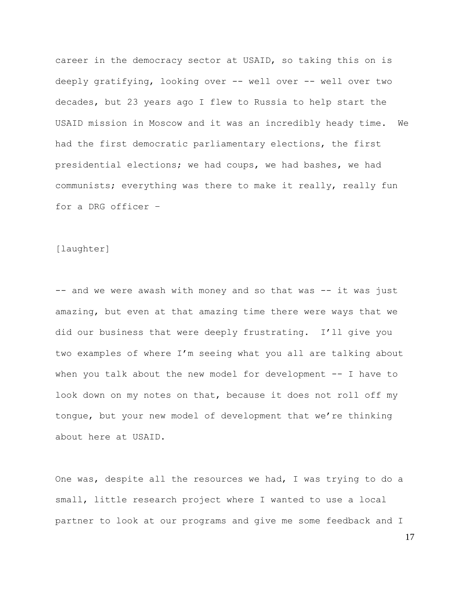career in the democracy sector at USAID, so taking this on is deeply gratifying, looking over -- well over -- well over two decades, but 23 years ago I flew to Russia to help start the USAID mission in Moscow and it was an incredibly heady time. We had the first democratic parliamentary elections, the first presidential elections; we had coups, we had bashes, we had communists; everything was there to make it really, really fun for a DRG officer –

## [laughter]

-- and we were awash with money and so that was -- it was just amazing, but even at that amazing time there were ways that we did our business that were deeply frustrating. I'll give you two examples of where I'm seeing what you all are talking about when you talk about the new model for development -- I have to look down on my notes on that, because it does not roll off my tongue, but your new model of development that we're thinking about here at USAID.

One was, despite all the resources we had, I was trying to do a small, little research project where I wanted to use a local partner to look at our programs and give me some feedback and I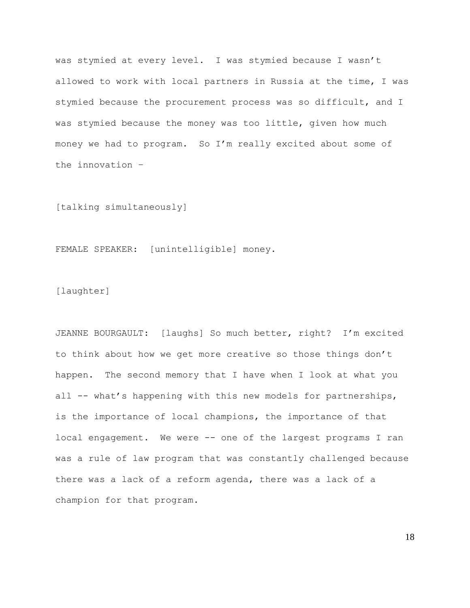was stymied at every level. I was stymied because I wasn't allowed to work with local partners in Russia at the time, I was stymied because the procurement process was so difficult, and I was stymied because the money was too little, given how much money we had to program. So I'm really excited about some of the innovation –

[talking simultaneously]

FEMALE SPEAKER: [unintelligible] money.

[laughter]

JEANNE BOURGAULT: [laughs] So much better, right? I'm excited to think about how we get more creative so those things don't happen. The second memory that I have when I look at what you all -- what's happening with this new models for partnerships, is the importance of local champions, the importance of that local engagement. We were -- one of the largest programs I ran was a rule of law program that was constantly challenged because there was a lack of a reform agenda, there was a lack of a champion for that program.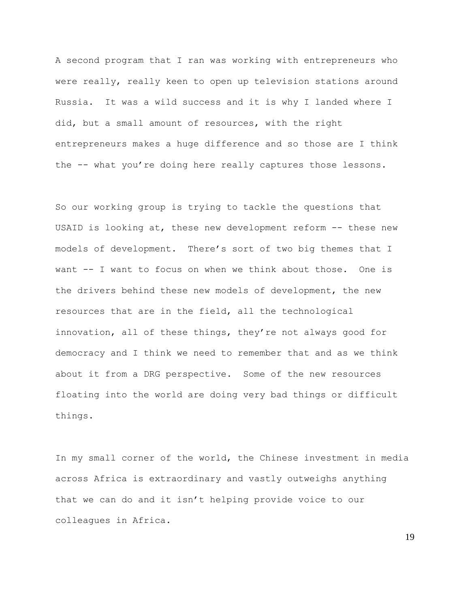A second program that I ran was working with entrepreneurs who were really, really keen to open up television stations around Russia. It was a wild success and it is why I landed where I did, but a small amount of resources, with the right entrepreneurs makes a huge difference and so those are I think the -- what you're doing here really captures those lessons.

So our working group is trying to tackle the questions that USAID is looking at, these new development reform -- these new models of development. There's sort of two big themes that I want -- I want to focus on when we think about those. One is the drivers behind these new models of development, the new resources that are in the field, all the technological innovation, all of these things, they're not always good for democracy and I think we need to remember that and as we think about it from a DRG perspective. Some of the new resources floating into the world are doing very bad things or difficult things.

In my small corner of the world, the Chinese investment in media across Africa is extraordinary and vastly outweighs anything that we can do and it isn't helping provide voice to our colleagues in Africa.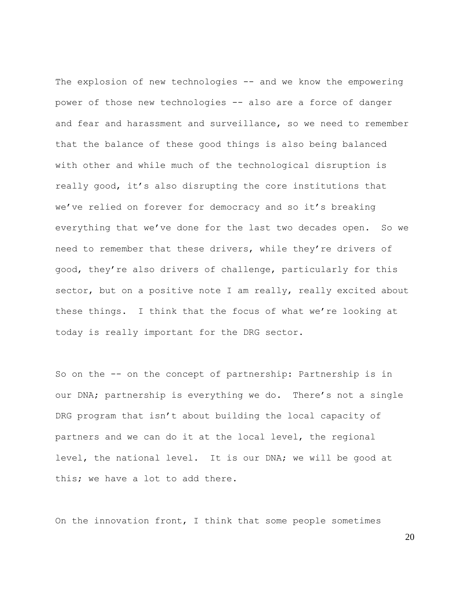The explosion of new technologies -- and we know the empowering power of those new technologies -- also are a force of danger and fear and harassment and surveillance, so we need to remember that the balance of these good things is also being balanced with other and while much of the technological disruption is really good, it's also disrupting the core institutions that we've relied on forever for democracy and so it's breaking everything that we've done for the last two decades open. So we need to remember that these drivers, while they're drivers of good, they're also drivers of challenge, particularly for this sector, but on a positive note I am really, really excited about these things. I think that the focus of what we're looking at today is really important for the DRG sector.

So on the -- on the concept of partnership: Partnership is in our DNA; partnership is everything we do. There's not a single DRG program that isn't about building the local capacity of partners and we can do it at the local level, the regional level, the national level. It is our DNA; we will be good at this; we have a lot to add there.

On the innovation front, I think that some people sometimes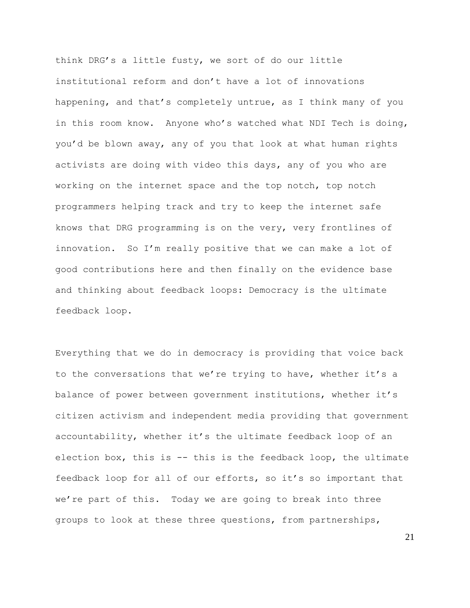think DRG's a little fusty, we sort of do our little institutional reform and don't have a lot of innovations happening, and that's completely untrue, as I think many of you in this room know. Anyone who's watched what NDI Tech is doing, you'd be blown away, any of you that look at what human rights activists are doing with video this days, any of you who are working on the internet space and the top notch, top notch programmers helping track and try to keep the internet safe knows that DRG programming is on the very, very frontlines of innovation. So I'm really positive that we can make a lot of good contributions here and then finally on the evidence base and thinking about feedback loops: Democracy is the ultimate feedback loop.

Everything that we do in democracy is providing that voice back to the conversations that we're trying to have, whether it's a balance of power between government institutions, whether it's citizen activism and independent media providing that government accountability, whether it's the ultimate feedback loop of an election box, this is -- this is the feedback loop, the ultimate feedback loop for all of our efforts, so it's so important that we're part of this. Today we are going to break into three groups to look at these three questions, from partnerships,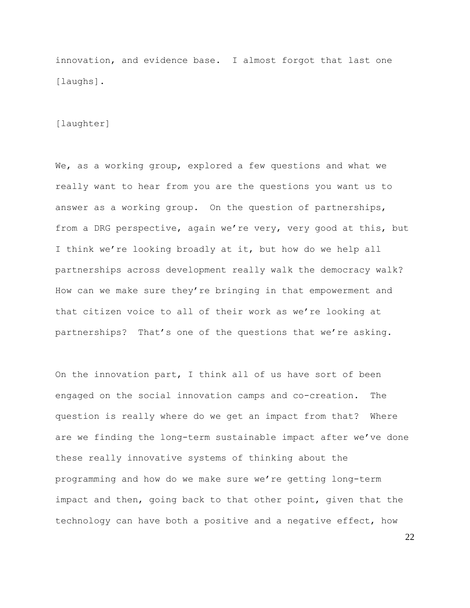innovation, and evidence base. I almost forgot that last one [laughs].

[laughter]

We, as a working group, explored a few questions and what we really want to hear from you are the questions you want us to answer as a working group. On the question of partnerships, from a DRG perspective, again we're very, very good at this, but I think we're looking broadly at it, but how do we help all partnerships across development really walk the democracy walk? How can we make sure they're bringing in that empowerment and that citizen voice to all of their work as we're looking at partnerships? That's one of the questions that we're asking.

On the innovation part, I think all of us have sort of been engaged on the social innovation camps and co-creation. The question is really where do we get an impact from that? Where are we finding the long-term sustainable impact after we've done these really innovative systems of thinking about the programming and how do we make sure we're getting long-term impact and then, going back to that other point, given that the technology can have both a positive and a negative effect, how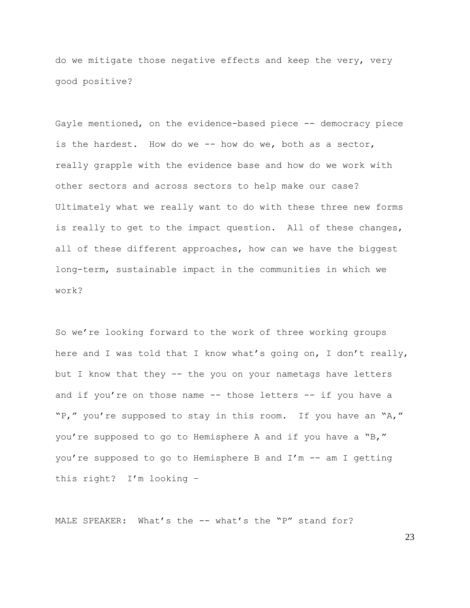do we mitigate those negative effects and keep the very, very good positive?

Gayle mentioned, on the evidence-based piece -- democracy piece is the hardest. How do we -- how do we, both as a sector, really grapple with the evidence base and how do we work with other sectors and across sectors to help make our case? Ultimately what we really want to do with these three new forms is really to get to the impact question. All of these changes, all of these different approaches, how can we have the biggest long-term, sustainable impact in the communities in which we work?

So we're looking forward to the work of three working groups here and I was told that I know what's going on, I don't really, but I know that they -- the you on your nametags have letters and if you're on those name  $--$  those letters  $--$  if you have a "P," you're supposed to stay in this room. If you have an "A," you're supposed to go to Hemisphere A and if you have a "B," you're supposed to go to Hemisphere B and I'm -- am I getting this right? I'm looking –

MALE SPEAKER: What's the -- what's the "P" stand for?